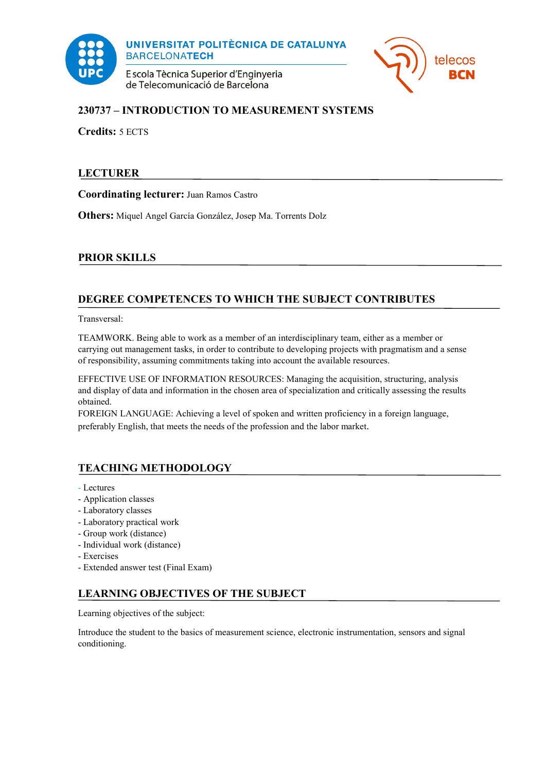

**UNIVERSITAT POLITÈCNICA DE CATALUNYA BARCELONATECH** 

E scola Tècnica Superior d'Enginyeria de Telecomunicació de Barcelona



# **230737 – INTRODUCTION TO MEASUREMENT SYSTEMS**

**Credits:** 5 ECTS

# **LECTURER**

**Coordinating lecturer:** [Juan Ramos Castro](mailto:juan.jose.ramos@upc.edu)

**Others:** Miquel Angel García González, Josep Ma. Torrents Dolz

# **PRIOR SKILLS**

# **DEGREE COMPETENCES TO WHICH THE SUBJECT CONTRIBUTES**

Transversal:

TEAMWORK. Being able to work as a member of an interdisciplinary team, either as a member or carrying out management tasks, in order to contribute to developing projects with pragmatism and a sense of responsibility, assuming commitments taking into account the available resources.

EFFECTIVE USE OF INFORMATION RESOURCES: Managing the acquisition, structuring, analysis and display of data and information in the chosen area of specialization and critically assessing the results obtained.

FOREIGN LANGUAGE: Achieving a level of spoken and written proficiency in a foreign language, preferably English, that meets the needs of the profession and the labor market.

# **TEACHING METHODOLOGY**

- Lectures
- Application classes
- Laboratory classes
- Laboratory practical work
- Group work (distance)
- Individual work (distance)
- Exercises
- Extended answer test (Final Exam)

## **LEARNING OBJECTIVES OF THE SUBJECT**

Learning objectives of the subject:

Introduce the student to the basics of measurement science, electronic instrumentation, sensors and signal conditioning.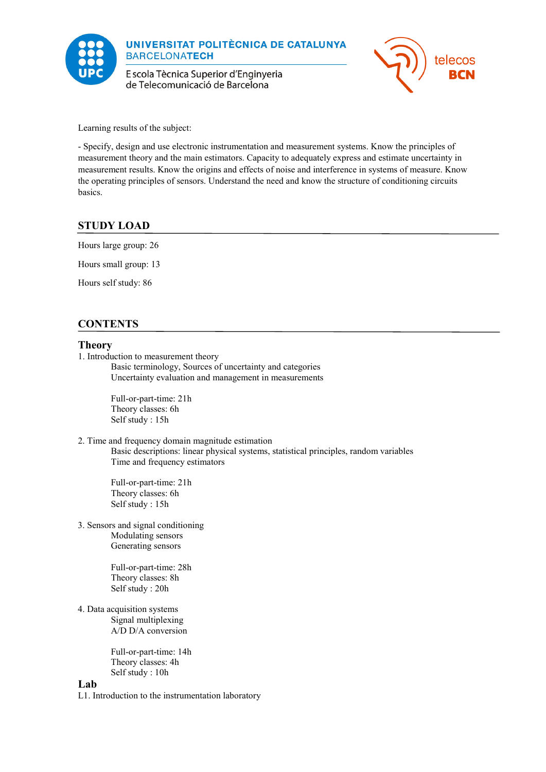

E scola Tècnica Superior d'Enginyeria de Telecomunicació de Barcelona



Learning results of the subject:

- Specify, design and use electronic instrumentation and measurement systems. Know the principles of measurement theory and the main estimators. Capacity to adequately express and estimate uncertainty in measurement results. Know the origins and effects of noise and interference in systems of measure. Know the operating principles of sensors. Understand the need and know the structure of conditioning circuits basics.

## **STUDY LOAD**

Hours large group: 26

Hours small group: 13

Hours self study: 86

## **CONTENTS**

#### **Theory**

1. Introduction to measurement theory

Basic terminology, Sources of uncertainty and categories Uncertainty evaluation and management in measurements

Full-or-part-time: 21h Theory classes: 6h Self study : 15h

2. Time and frequency domain magnitude estimation Basic descriptions: linear physical systems, statistical principles, random variables Time and frequency estimators

Full-or-part-time: 21h Theory classes: 6h Self study : 15h

3. Sensors and signal conditioning Modulating sensors Generating sensors

> Full-or-part-time: 28h Theory classes: 8h Self study : 20h

4. Data acquisition systems Signal multiplexing A/D D/A conversion

> Full-or-part-time: 14h Theory classes: 4h Self study : 10h

#### **Lab**

L1. Introduction to the instrumentation laboratory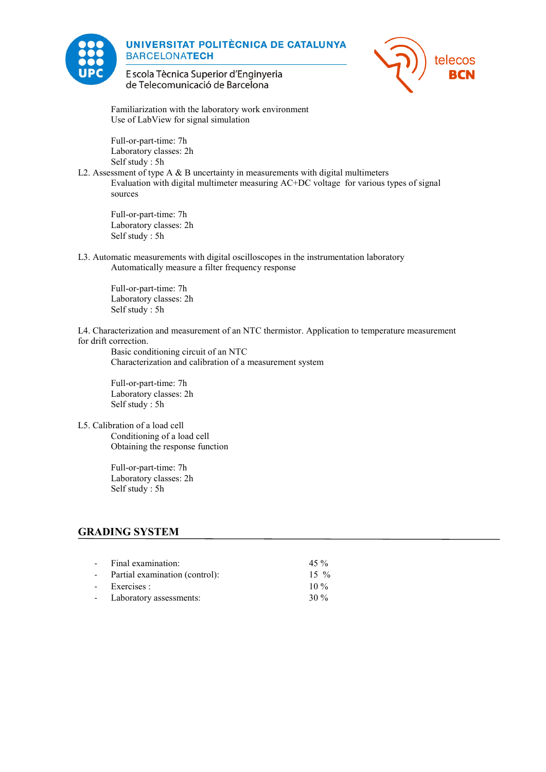

### **UNIVERSITAT POLITÈCNICA DE CATALUNYA BARCELONATECH**



E scola Tècnica Superior d'Enginyeria de Telecomunicació de Barcelona

Familiarization with the laboratory work environment Use of LabView for signal simulation

Full-or-part-time: 7h Laboratory classes: 2h Self study : 5h

L2. Assessment of type  $A \& B$  uncertainty in measurements with digital multimeters Evaluation with digital multimeter measuring AC+DC voltage for various types of signal sources

Full-or-part-time: 7h Laboratory classes: 2h Self study : 5h

L3. Automatic measurements with digital oscilloscopes in the instrumentation laboratory Automatically measure a filter frequency response

Full-or-part-time: 7h Laboratory classes: 2h Self study : 5h

L4. Characterization and measurement of an NTC thermistor. Application to temperature measurement for drift correction.

Basic conditioning circuit of an NTC Characterization and calibration of a measurement system

Full-or-part-time: 7h Laboratory classes: 2h Self study : 5h

#### L5. Calibration of a load cell

Conditioning of a load cell Obtaining the response function

Full-or-part-time: 7h Laboratory classes: 2h Self study : 5h

### **GRADING SYSTEM**

| - Final examination:             | 45 %   |
|----------------------------------|--------|
| - Partial examination (control): | $15\%$ |
| - Exercises :                    | $10\%$ |
| - Laboratory assessments:        | $30\%$ |